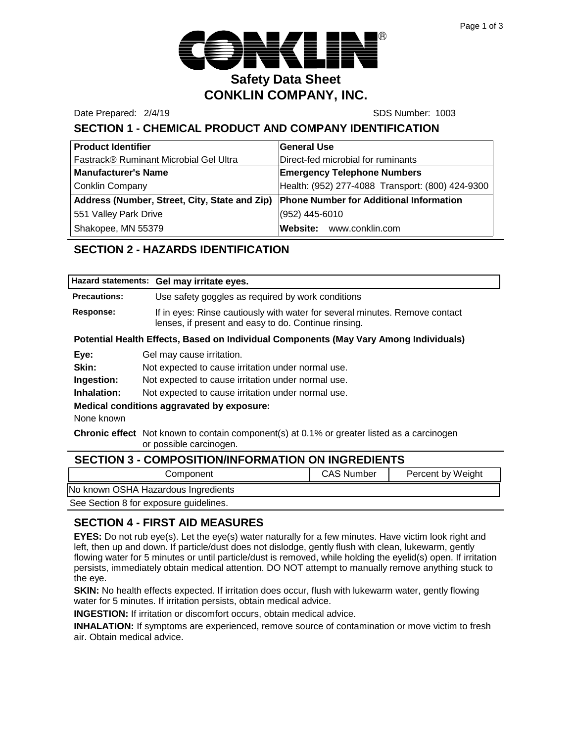

Date Prepared: 2/4/19 **SDS Number: 1003** 

# **SECTION 1 - CHEMICAL PRODUCT AND COMPANY IDENTIFICATION**

| <b>Product Identifier</b>                     | <b>General Use</b>                               |
|-----------------------------------------------|--------------------------------------------------|
| Fastrack® Ruminant Microbial Gel Ultra        | Direct-fed microbial for ruminants               |
| <b>Manufacturer's Name</b>                    | <b>Emergency Telephone Numbers</b>               |
| Conklin Company                               | Health: (952) 277-4088 Transport: (800) 424-9300 |
| Address (Number, Street, City, State and Zip) | <b>Phone Number for Additional Information</b>   |
| 551 Valley Park Drive                         | (952) 445-6010                                   |
| Shakopee, MN 55379                            | Website: www.conklin.com                         |

# **SECTION 2 - HAZARDS IDENTIFICATION**

|                                                                                                                              | Hazard statements: Gel may irritate eyes.                                                                                           |                   |                   |
|------------------------------------------------------------------------------------------------------------------------------|-------------------------------------------------------------------------------------------------------------------------------------|-------------------|-------------------|
| <b>Precautions:</b>                                                                                                          | Use safety goggles as required by work conditions                                                                                   |                   |                   |
| Response:                                                                                                                    | If in eyes: Rinse cautiously with water for several minutes. Remove contact<br>lenses, if present and easy to do. Continue rinsing. |                   |                   |
| Potential Health Effects, Based on Individual Components (May Vary Among Individuals)                                        |                                                                                                                                     |                   |                   |
| Eye:                                                                                                                         | Gel may cause irritation.                                                                                                           |                   |                   |
| Skin:                                                                                                                        | Not expected to cause irritation under normal use.                                                                                  |                   |                   |
| Ingestion:                                                                                                                   | Not expected to cause irritation under normal use.                                                                                  |                   |                   |
| Inhalation:                                                                                                                  | Not expected to cause irritation under normal use.                                                                                  |                   |                   |
| Medical conditions aggravated by exposure:                                                                                   |                                                                                                                                     |                   |                   |
| None known                                                                                                                   |                                                                                                                                     |                   |                   |
| <b>Chronic effect</b> Not known to contain component(s) at 0.1% or greater listed as a carcinogen<br>or possible carcinogen. |                                                                                                                                     |                   |                   |
| <b>SECTION 3 - COMPOSITION/INFORMATION ON INGREDIENTS</b>                                                                    |                                                                                                                                     |                   |                   |
|                                                                                                                              | Component                                                                                                                           | <b>CAS Number</b> | Percent by Weight |

No known OSHA Hazardous Ingredients

See Section 8 for exposure guidelines.

#### **SECTION 4 - FIRST AID MEASURES**

**EYES:** Do not rub eye(s). Let the eye(s) water naturally for a few minutes. Have victim look right and left, then up and down. If particle/dust does not dislodge, gently flush with clean, lukewarm, gently flowing water for 5 minutes or until particle/dust is removed, while holding the eyelid(s) open. If irritation persists, immediately obtain medical attention. DO NOT attempt to manually remove anything stuck to the eye.

**SKIN:** No health effects expected. If irritation does occur, flush with lukewarm water, gently flowing water for 5 minutes. If irritation persists, obtain medical advice.

**INGESTION:** If irritation or discomfort occurs, obtain medical advice.

**INHALATION:** If symptoms are experienced, remove source of contamination or move victim to fresh air. Obtain medical advice.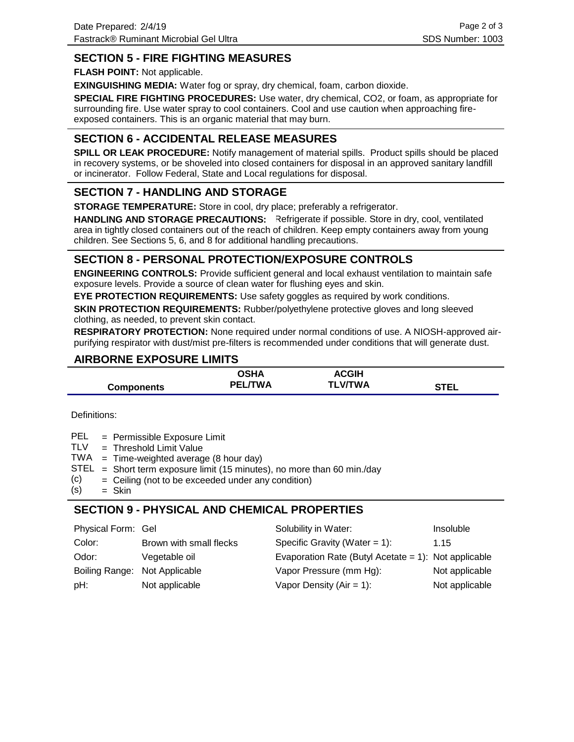## **SECTION 5 - FIRE FIGHTING MEASURES**

**FLASH POINT:** Not applicable.

**EXINGUISHING MEDIA:** Water fog or spray, dry chemical, foam, carbon dioxide.

**SPECIAL FIRE FIGHTING PROCEDURES:** Use water, dry chemical, CO2, or foam, as appropriate for surrounding fire. Use water spray to cool containers. Cool and use caution when approaching fireexposed containers. This is an organic material that may burn.

# **SECTION 6 - ACCIDENTAL RELEASE MEASURES**

**SPILL OR LEAK PROCEDURE:** Notify management of material spills. Product spills should be placed in recovery systems, or be shoveled into closed containers for disposal in an approved sanitary landfill or incinerator. Follow Federal, State and Local regulations for disposal.

## **SECTION 7 - HANDLING AND STORAGE**

**STORAGE TEMPERATURE:** Store in cool, dry place; preferably a refrigerator.

HANDLING AND STORAGE PRECAUTIONS: Refrigerate if possible. Store in dry, cool, ventilated area in tightly closed containers out of the reach of children. Keep empty containers away from young children. See Sections 5, 6, and 8 for additional handling precautions.

#### **SECTION 8 - PERSONAL PROTECTION/EXPOSURE CONTROLS**

**ENGINEERING CONTROLS:** Provide sufficient general and local exhaust ventilation to maintain safe exposure levels. Provide a source of clean water for flushing eyes and skin.

**EYE PROTECTION REQUIREMENTS:** Use safety goggles as required by work conditions.

**SKIN PROTECTION REQUIREMENTS:** Rubber/polyethylene protective gloves and long sleeved clothing, as needed, to prevent skin contact.

**RESPIRATORY PROTECTION:** None required under normal conditions of use. A NIOSH-approved airpurifying respirator with dust/mist pre-filters is recommended under conditions that will generate dust.

## **AIRBORNE EXPOSURE LIMITS**

|                   | OSHA           | <b>ACGIH</b>   |      |
|-------------------|----------------|----------------|------|
| <b>Components</b> | <b>PEL/TWA</b> | <b>TLV/TWA</b> | STEL |

Definitions:

| PEL | = Permissible Exposure Limit |  |  |
|-----|------------------------------|--|--|
|-----|------------------------------|--|--|

- Threshold Limit Value = **TLV**
- $TWA = Time-weighted average (8 hour day)$
- $STEL = Short term exposure limit (15 minutes), no more than 60 min/day$
- Ceiling (not to be exceeded under any condition) = (c)
- Skin = (s)

# **SECTION 9 - PHYSICAL AND CHEMICAL PROPERTIES**

| Physical Form: Gel            |                         | Solubility in Water:                                 | <b>Insoluble</b> |
|-------------------------------|-------------------------|------------------------------------------------------|------------------|
| Color:                        | Brown with small flecks | Specific Gravity (Water = $1$ ):                     | 1.15             |
| Odor:                         | Vegetable oil           | Evaporation Rate (Butyl Acetate = 1): Not applicable |                  |
| Boiling Range: Not Applicable |                         | Vapor Pressure (mm Hg):                              | Not applicable   |
| pH:                           | Not applicable          | Vapor Density ( $Air = 1$ ):                         | Not applicable   |